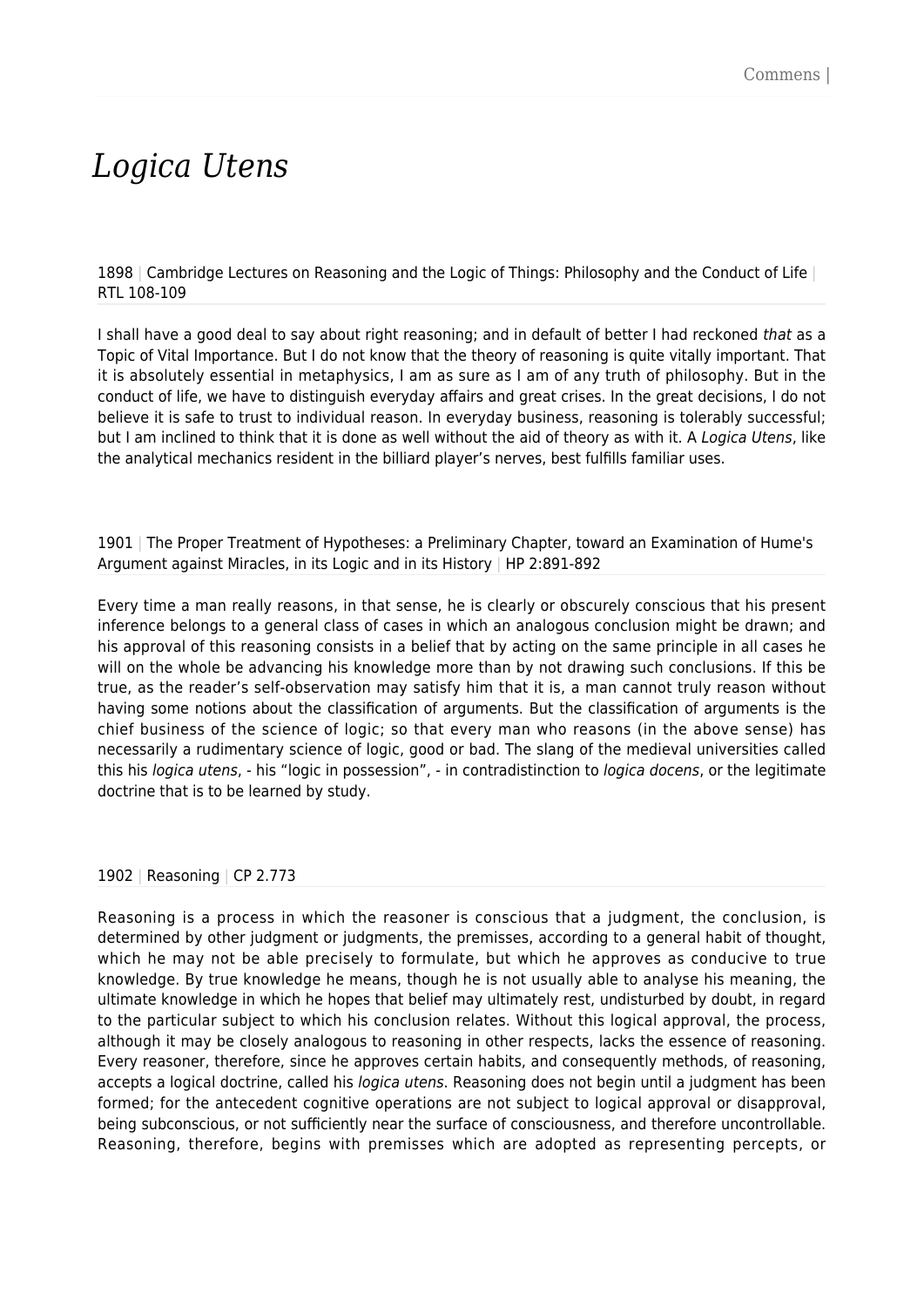# *Logica Utens*

1898 | Cambridge Lectures on Reasoning and the Logic of Things: Philosophy and the Conduct of Life | RTL 108-109

I shall have a good deal to say about right reasoning; and in default of better I had reckoned that as a Topic of Vital Importance. But I do not know that the theory of reasoning is quite vitally important. That it is absolutely essential in metaphysics, I am as sure as I am of any truth of philosophy. But in the conduct of life, we have to distinguish everyday affairs and great crises. In the great decisions, I do not believe it is safe to trust to individual reason. In everyday business, reasoning is tolerably successful; but I am inclined to think that it is done as well without the aid of theory as with it. A Logica Utens, like the analytical mechanics resident in the billiard player's nerves, best fulfills familiar uses.

1901 | The Proper Treatment of Hypotheses: a Preliminary Chapter, toward an Examination of Hume's Argument against Miracles, in its Logic and in its History | HP 2:891-892

Every time a man really reasons, in that sense, he is clearly or obscurely conscious that his present inference belongs to a general class of cases in which an analogous conclusion might be drawn; and his approval of this reasoning consists in a belief that by acting on the same principle in all cases he will on the whole be advancing his knowledge more than by not drawing such conclusions. If this be true, as the reader's self-observation may satisfy him that it is, a man cannot truly reason without having some notions about the classification of arguments. But the classification of arguments is the chief business of the science of logic; so that every man who reasons (in the above sense) has necessarily a rudimentary science of logic, good or bad. The slang of the medieval universities called this his logica utens, - his "logic in possession", - in contradistinction to logica docens, or the legitimate doctrine that is to be learned by study.

#### 1902 | Reasoning | CP 2.773

Reasoning is a process in which the reasoner is conscious that a judgment, the conclusion, is determined by other judgment or judgments, the premisses, according to a general habit of thought, which he may not be able precisely to formulate, but which he approves as conducive to true knowledge. By true knowledge he means, though he is not usually able to analyse his meaning, the ultimate knowledge in which he hopes that belief may ultimately rest, undisturbed by doubt, in regard to the particular subject to which his conclusion relates. Without this logical approval, the process, although it may be closely analogous to reasoning in other respects, lacks the essence of reasoning. Every reasoner, therefore, since he approves certain habits, and consequently methods, of reasoning, accepts a logical doctrine, called his logica utens. Reasoning does not begin until a judgment has been formed; for the antecedent cognitive operations are not subject to logical approval or disapproval, being subconscious, or not sufficiently near the surface of consciousness, and therefore uncontrollable. Reasoning, therefore, begins with premisses which are adopted as representing percepts, or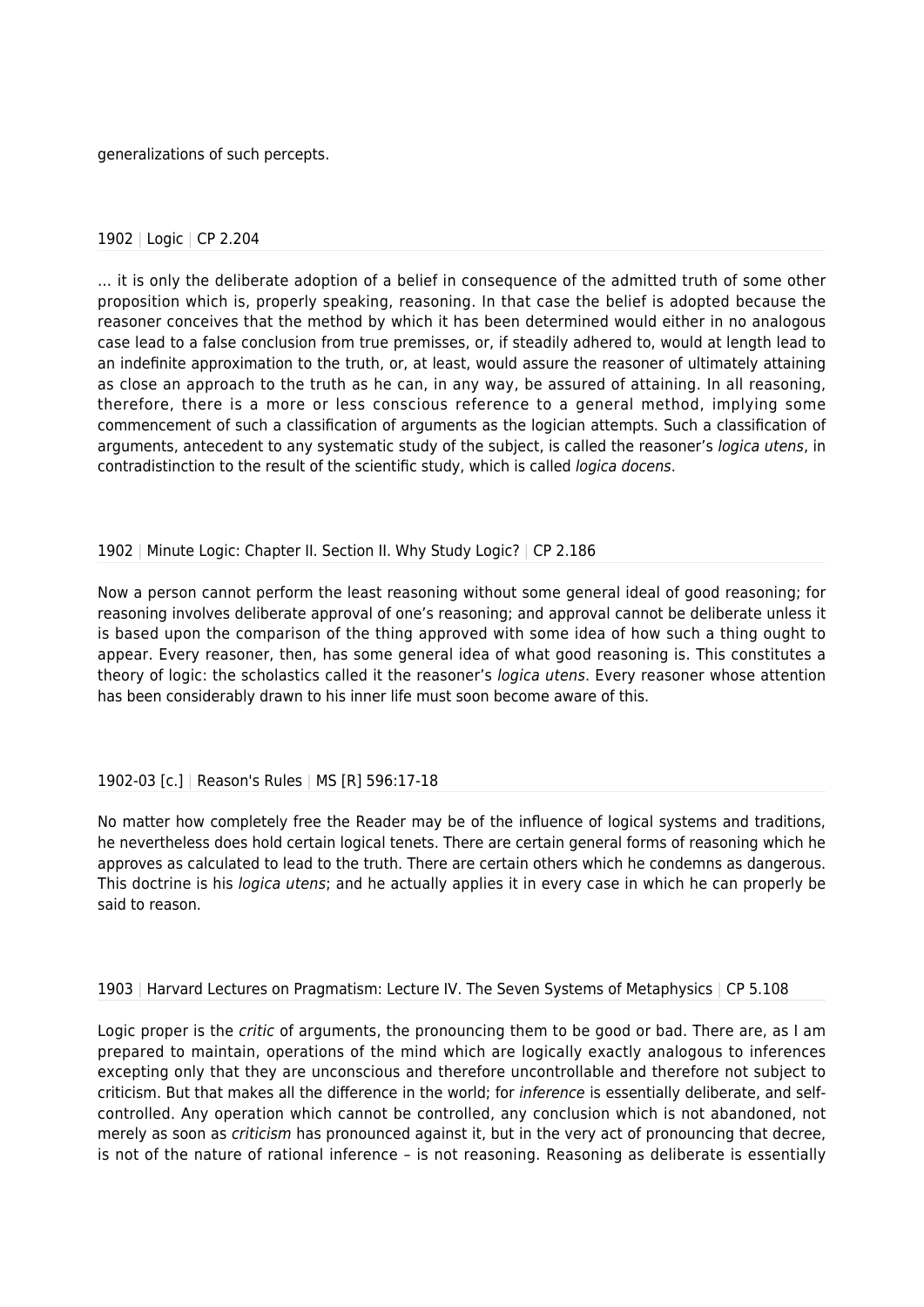generalizations of such percepts.

#### 1902 | Logic | CP 2.204

… it is only the deliberate adoption of a belief in consequence of the admitted truth of some other proposition which is, properly speaking, reasoning. In that case the belief is adopted because the reasoner conceives that the method by which it has been determined would either in no analogous case lead to a false conclusion from true premisses, or, if steadily adhered to, would at length lead to an indefinite approximation to the truth, or, at least, would assure the reasoner of ultimately attaining as close an approach to the truth as he can, in any way, be assured of attaining. In all reasoning, therefore, there is a more or less conscious reference to a general method, implying some commencement of such a classification of arguments as the logician attempts. Such a classification of arguments, antecedent to any systematic study of the subject, is called the reasoner's logica utens, in contradistinction to the result of the scientific study, which is called logica docens.

## 1902 | Minute Logic: Chapter II. Section II. Why Study Logic? | CP 2.186

Now a person cannot perform the least reasoning without some general ideal of good reasoning; for reasoning involves deliberate approval of one's reasoning; and approval cannot be deliberate unless it is based upon the comparison of the thing approved with some idea of how such a thing ought to appear. Every reasoner, then, has some general idea of what good reasoning is. This constitutes a theory of logic: the scholastics called it the reasoner's logica utens. Every reasoner whose attention has been considerably drawn to his inner life must soon become aware of this.

## 1902-03 [c.] | Reason's Rules | MS [R] 596:17-18

No matter how completely free the Reader may be of the influence of logical systems and traditions, he nevertheless does hold certain logical tenets. There are certain general forms of reasoning which he approves as calculated to lead to the truth. There are certain others which he condemns as dangerous. This doctrine is his *logica utens*; and he actually applies it in every case in which he can properly be said to reason.

1903 | Harvard Lectures on Pragmatism: Lecture IV. The Seven Systems of Metaphysics | CP 5.108

Logic proper is the *critic* of arguments, the pronouncing them to be good or bad. There are, as I am prepared to maintain, operations of the mind which are logically exactly analogous to inferences excepting only that they are unconscious and therefore uncontrollable and therefore not subject to criticism. But that makes all the difference in the world; for *inference* is essentially deliberate, and selfcontrolled. Any operation which cannot be controlled, any conclusion which is not abandoned, not merely as soon as criticism has pronounced against it, but in the very act of pronouncing that decree, is not of the nature of rational inference – is not reasoning. Reasoning as deliberate is essentially